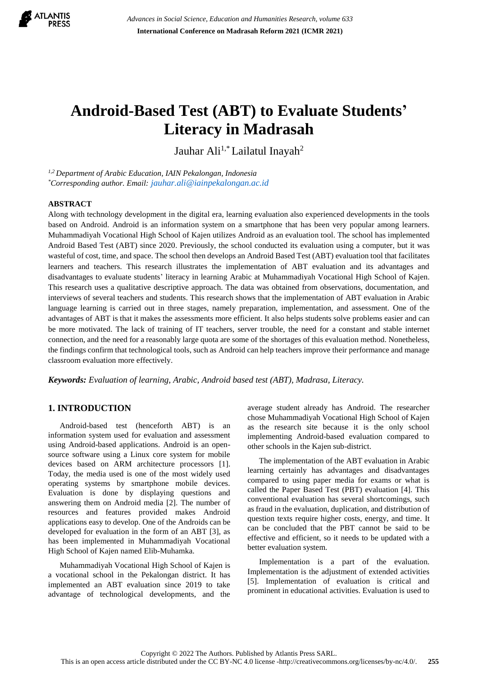

# **Android-Based Test (ABT) to Evaluate Students' Literacy in Madrasah**

Jauhar Ali<sup>1,\*</sup> Lailatul Inayah<sup>2</sup>

*1,2 Department of Arabic Education, IAIN Pekalongan, Indonesia \*Corresponding author. Email: [jauhar.ali@iainpekalongan.ac.id](mailto:jauhar.ali@iainpekalongan.ac.id)*

## **ABSTRACT**

Along with technology development in the digital era, learning evaluation also experienced developments in the tools based on Android. Android is an information system on a smartphone that has been very popular among learners. Muhammadiyah Vocational High School of Kajen utilizes Android as an evaluation tool. The school has implemented Android Based Test (ABT) since 2020. Previously, the school conducted its evaluation using a computer, but it was wasteful of cost, time, and space. The school then develops an Android Based Test (ABT) evaluation tool that facilitates learners and teachers. This research illustrates the implementation of ABT evaluation and its advantages and disadvantages to evaluate students' literacy in learning Arabic at Muhammadiyah Vocational High School of Kajen. This research uses a qualitative descriptive approach. The data was obtained from observations, documentation, and interviews of several teachers and students. This research shows that the implementation of ABT evaluation in Arabic language learning is carried out in three stages, namely preparation, implementation, and assessment. One of the advantages of ABT is that it makes the assessments more efficient. It also helps students solve problems easier and can be more motivated. The lack of training of IT teachers, server trouble, the need for a constant and stable internet connection, and the need for a reasonably large quota are some of the shortages of this evaluation method. Nonetheless, the findings confirm that technological tools, such as Android can help teachers improve their performance and manage classroom evaluation more effectively.

*Keywords: Evaluation of learning, Arabic, Android based test (ABT), Madrasa, Literacy.*

# **1. INTRODUCTION**

Android-based test (henceforth ABT) is an information system used for evaluation and assessment using Android-based applications. Android is an opensource software using a Linux core system for mobile devices based on ARM architecture processors [1]. Today, the media used is one of the most widely used operating systems by smartphone mobile devices. Evaluation is done by displaying questions and answering them on Android media [2]. The number of resources and features provided makes Android applications easy to develop. One of the Androids can be developed for evaluation in the form of an ABT [3], as has been implemented in Muhammadiyah Vocational High School of Kajen named Elib-Muhamka.

Muhammadiyah Vocational High School of Kajen is a vocational school in the Pekalongan district. It has implemented an ABT evaluation since 2019 to take advantage of technological developments, and the average student already has Android. The researcher chose Muhammadiyah Vocational High School of Kajen as the research site because it is the only school implementing Android-based evaluation compared to other schools in the Kajen sub-district.

The implementation of the ABT evaluation in Arabic learning certainly has advantages and disadvantages compared to using paper media for exams or what is called the Paper Based Test (PBT) evaluation [4]. This conventional evaluation has several shortcomings, such as fraud in the evaluation, duplication, and distribution of question texts require higher costs, energy, and time. It can be concluded that the PBT cannot be said to be effective and efficient, so it needs to be updated with a better evaluation system.

Implementation is a part of the evaluation. Implementation is the adjustment of extended activities [5]. Implementation of evaluation is critical and prominent in educational activities. Evaluation is used to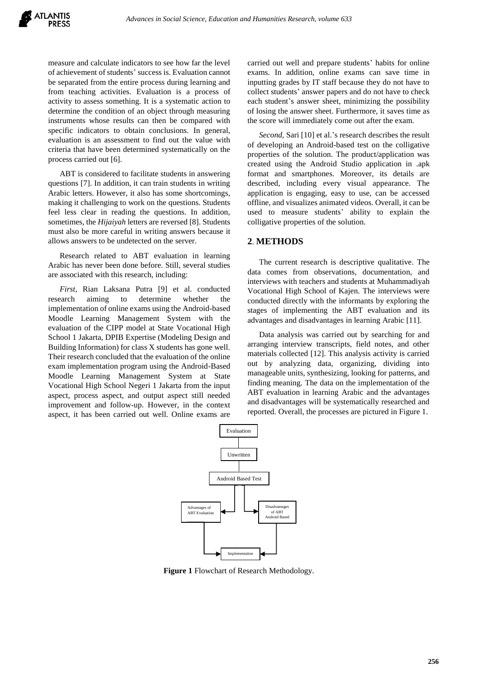measure and calculate indicators to see how far the level of achievement of students' success is. Evaluation cannot be separated from the entire process during learning and from teaching activities. Evaluation is a process of activity to assess something. It is a systematic action to determine the condition of an object through measuring instruments whose results can then be compared with specific indicators to obtain conclusions. In general, evaluation is an assessment to find out the value with criteria that have been determined systematically on the process carried out [6].

ABT is considered to facilitate students in answering questions [7]. In addition, it can train students in writing Arabic letters. However, it also has some shortcomings, making it challenging to work on the questions. Students feel less clear in reading the questions. In addition, sometimes, the *Hijaiyah* letters are reversed [8]. Students must also be more careful in writing answers because it allows answers to be undetected on the server.

Research related to ABT evaluation in learning Arabic has never been done before. Still, several studies are associated with this research, including:

*First,* Rian Laksana Putra [9] et al. conducted research aiming to determine whether the implementation of online exams using the Android-based Moodle Learning Management System with the evaluation of the CIPP model at State Vocational High School 1 Jakarta, DPIB Expertise (Modeling Design and Building Information) for class X students has gone well. Their research concluded that the evaluation of the online exam implementation program using the Android-Based Moodle Learning Management System at State Vocational High School Negeri 1 Jakarta from the input aspect, process aspect, and output aspect still needed improvement and follow-up. However, in the context aspect, it has been carried out well. Online exams are

carried out well and prepare students' habits for online exams. In addition, online exams can save time in inputting grades by IT staff because they do not have to collect students' answer papers and do not have to check each student's answer sheet, minimizing the possibility of losing the answer sheet. Furthermore, it saves time as the score will immediately come out after the exam.

*Second,* Sari [10] et al.'s research describes the result of developing an Android-based test on the colligative properties of the solution. The product/application was created using the Android Studio application in .apk format and smartphones. Moreover, its details are described, including every visual appearance. The application is engaging, easy to use, can be accessed offline, and visualizes animated videos. Overall, it can be used to measure students' ability to explain the colligative properties of the solution.

# **2**. **METHODS**

The current research is descriptive qualitative. The data comes from observations, documentation, and interviews with teachers and students at Muhammadiyah Vocational High School of Kajen. The interviews were conducted directly with the informants by exploring the stages of implementing the ABT evaluation and its advantages and disadvantages in learning Arabic [11].

Data analysis was carried out by searching for and arranging interview transcripts, field notes, and other materials collected [12]. This analysis activity is carried out by analyzing data, organizing, dividing into manageable units, synthesizing, looking for patterns, and finding meaning. The data on the implementation of the ABT evaluation in learning Arabic and the advantages and disadvantages will be systematically researched and reported. Overall, the processes are pictured in Figure 1.



**Figure 1** Flowchart of Research Methodology.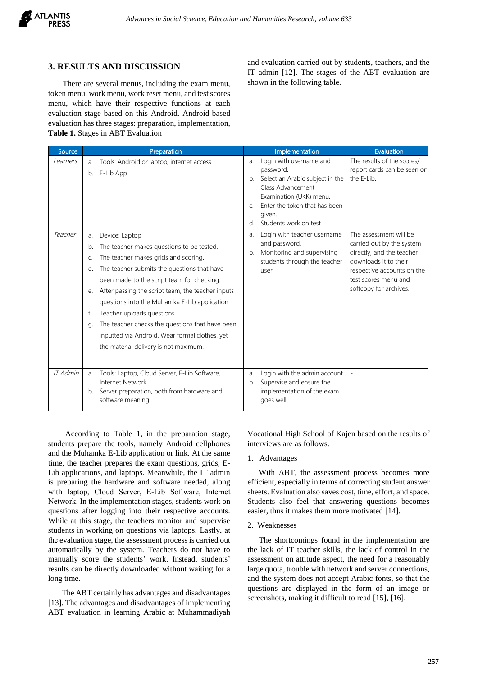

## **3. RESULTS AND DISCUSSION**

There are several menus, including the exam menu, token menu, work menu, work reset menu, and test scores menu, which have their respective functions at each evaluation stage based on this Android. Android-based evaluation has three stages: preparation, implementation, **Table 1.** Stages in ABT Evaluation

and evaluation carried out by students, teachers, and the IT admin [12]. The stages of the ABT evaluation are shown in the following table.

| Source   |                                        | Preparation                                                                                                                                                                                                                                                                                                                                                                                                                                                                       |                                            | Implementation                                                                                                                                                                              | Evaluation                                                                                                                                                                                |
|----------|----------------------------------------|-----------------------------------------------------------------------------------------------------------------------------------------------------------------------------------------------------------------------------------------------------------------------------------------------------------------------------------------------------------------------------------------------------------------------------------------------------------------------------------|--------------------------------------------|---------------------------------------------------------------------------------------------------------------------------------------------------------------------------------------------|-------------------------------------------------------------------------------------------------------------------------------------------------------------------------------------------|
| Learners | a.<br>b.                               | Tools: Android or laptop, internet access.<br>E-Lib App                                                                                                                                                                                                                                                                                                                                                                                                                           | a.<br>b.<br>$\mathsf{C}$ .<br>$\mathsf{d}$ | Login with username and<br>password.<br>Select an Arabic subject in the<br>Class Advancement<br>Examination (UKK) menu.<br>Enter the token that has been<br>given.<br>Students work on test | The results of the scores/<br>report cards can be seen on<br>the E-Lib.                                                                                                                   |
| Teacher  | a.<br>b.<br>C.<br>d.<br>e.<br>f.<br>q. | Device: Laptop<br>The teacher makes questions to be tested.<br>The teacher makes grids and scoring.<br>The teacher submits the questions that have<br>been made to the script team for checking.<br>After passing the script team, the teacher inputs<br>questions into the Muhamka E-Lib application.<br>Teacher uploads questions<br>The teacher checks the questions that have been<br>inputted via Android. Wear formal clothes, yet<br>the material delivery is not maximum. | a.<br>b.                                   | Login with teacher username<br>and password.<br>Monitoring and supervising<br>students through the teacher<br>user.                                                                         | The assessment will be<br>carried out by the system<br>directly, and the teacher<br>downloads it to their<br>respective accounts on the<br>test scores menu and<br>softcopy for archives. |
| IT Admin | a.<br>b.                               | Tools: Laptop, Cloud Server, E-Lib Software,<br>Internet Network<br>Server preparation, both from hardware and<br>software meaning.                                                                                                                                                                                                                                                                                                                                               | a.<br>b.                                   | Login with the admin account<br>Supervise and ensure the<br>implementation of the exam<br>goes well.                                                                                        |                                                                                                                                                                                           |

According to Table 1, in the preparation stage, students prepare the tools, namely Android cellphones and the Muhamka E-Lib application or link. At the same time, the teacher prepares the exam questions, grids, E-Lib applications, and laptops. Meanwhile, the IT admin is preparing the hardware and software needed, along with laptop, Cloud Server, E-Lib Software, Internet Network. In the implementation stages, students work on questions after logging into their respective accounts. While at this stage, the teachers monitor and supervise students in working on questions via laptops. Lastly, at the evaluation stage, the assessment process is carried out automatically by the system. Teachers do not have to manually score the students' work. Instead, students' results can be directly downloaded without waiting for a long time.

The ABT certainly has advantages and disadvantages [13]. The advantages and disadvantages of implementing ABT evaluation in learning Arabic at Muhammadiyah

Vocational High School of Kajen based on the results of interviews are as follows.

#### 1. Advantages

With ABT, the assessment process becomes more efficient, especially in terms of correcting student answer sheets. Evaluation also saves cost, time, effort, and space. Students also feel that answering questions becomes easier, thus it makes them more motivated [14].

#### 2. Weaknesses

The shortcomings found in the implementation are the lack of IT teacher skills, the lack of control in the assessment on attitude aspect, the need for a reasonably large quota, trouble with network and server connections, and the system does not accept Arabic fonts, so that the questions are displayed in the form of an image or screenshots, making it difficult to read [15], [16].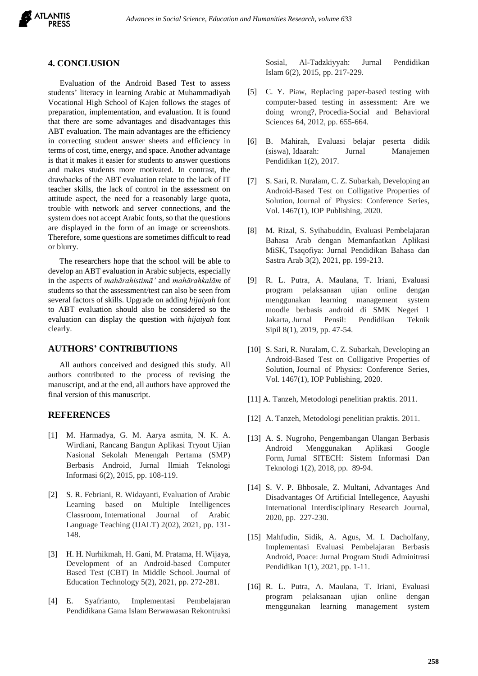

### **4. CONCLUSION**

Evaluation of the Android Based Test to assess students' literacy in learning Arabic at Muhammadiyah Vocational High School of Kajen follows the stages of preparation, implementation, and evaluation. It is found that there are some advantages and disadvantages this ABT evaluation. The main advantages are the efficiency in correcting student answer sheets and efficiency in terms of cost, time, energy, and space. Another advantage is that it makes it easier for students to answer questions and makes students more motivated. In contrast, the drawbacks of the ABT evaluation relate to the lack of IT teacher skills, the lack of control in the assessment on attitude aspect, the need for a reasonably large quota, trouble with network and server connections, and the system does not accept Arabic fonts, so that the questions are displayed in the form of an image or screenshots. Therefore, some questions are sometimes difficult to read or blurry.

The researchers hope that the school will be able to develop an ABT evaluation in Arabic subjects, especially in the aspects of *mahārahistimā'* and *mahārahkalām* of students so that the assessment/test can also be seen from several factors of skills. Upgrade on adding *hijaiyah* font to ABT evaluation should also be considered so the evaluation can display the question with *hijaiyah* font clearly.

# **AUTHORS' CONTRIBUTIONS**

All authors conceived and designed this study. All authors contributed to the process of revising the manuscript, and at the end, all authors have approved the final version of this manuscript.

## **REFERENCES**

- [1] M. Harmadya, G. M. Aarya asmita, N. K. A. Wirdiani, Rancang Bangun Aplikasi Tryout Ujian Nasional Sekolah Menengah Pertama (SMP) Berbasis Android, Jurnal Ilmiah Teknologi Informasi 6(2), 2015, pp. 108-119.
- [2] S. R. Febriani, R. Widayanti, Evaluation of Arabic Learning based on Multiple Intelligences Classroom, International Journal of Arabic Language Teaching (IJALT) 2(02), 2021, pp. 131- 148.
- [3] H. H. Nurhikmah, H. Gani, M. Pratama, H. Wijaya, Development of an Android-based Computer Based Test (CBT) In Middle School. Journal of Education Technology 5(2), 2021, pp. 272-281.
- [4] E. Syafrianto, Implementasi Pembelajaran Pendidikana Gama Islam Berwawasan Rekontruksi

Sosial, Al-Tadzkiyyah: Jurnal Pendidikan Islam 6(2), 2015, pp. 217-229.

- [5] C. Y. Piaw, Replacing paper-based testing with computer-based testing in assessment: Are we doing wrong?, Procedia-Social and Behavioral Sciences 64, 2012, pp. 655-664.
- [6] B. Mahirah, Evaluasi belajar peserta didik (siswa), Idaarah: Jurnal Manajemen Pendidikan 1(2), 2017.
- [7] S. Sari, R. Nuralam, C. Z. Subarkah, Developing an Android-Based Test on Colligative Properties of Solution, Journal of Physics: Conference Series, Vol. 1467(1), IOP Publishing, 2020.
- [8] M. Rizal, S. Syihabuddin, Evaluasi Pembelajaran Bahasa Arab dengan Memanfaatkan Aplikasi MiSK, Tsaqofiya: Jurnal Pendidikan Bahasa dan Sastra Arab 3(2), 2021, pp. 199-213.
- [9] R. L. Putra, A. Maulana, T. Iriani, Evaluasi program pelaksanaan ujian online dengan menggunakan learning management system moodle berbasis android di SMK Negeri 1 Jakarta, Jurnal Pensil: Pendidikan Teknik Sipil 8(1), 2019, pp. 47-54.
- [10] S. Sari, R. Nuralam, C. Z. Subarkah, Developing an Android-Based Test on Colligative Properties of Solution, Journal of Physics: Conference Series, Vol. 1467(1), IOP Publishing, 2020.
- [11] A. Tanzeh, Metodologi penelitian praktis. 2011.
- [12] A. Tanzeh, Metodologi penelitian praktis. 2011.
- [13] A. S. Nugroho, Pengembangan Ulangan Berbasis Android Menggunakan Aplikasi Google Form, Jurnal SITECH: Sistem Informasi Dan Teknologi 1(2), 2018, pp. 89-94.
- [14] S. V. P. Bhbosale, Z. Multani, Advantages And Disadvantages Of Artificial Intellegence, Aayushi International Interdisciplinary Research Journal, 2020, pp. 227-230.
- [15] Mahfudin, Sidik, A. Agus, M. I. Dacholfany, Implementasi Evaluasi Pembelajaran Berbasis Android, Poace: Jurnal Program Studi Adminitrasi Pendidikan 1(1), 2021, pp. 1-11.
- [16] R. L. Putra, A. Maulana, T. Iriani, Evaluasi program pelaksanaan ujian online dengan menggunakan learning management system